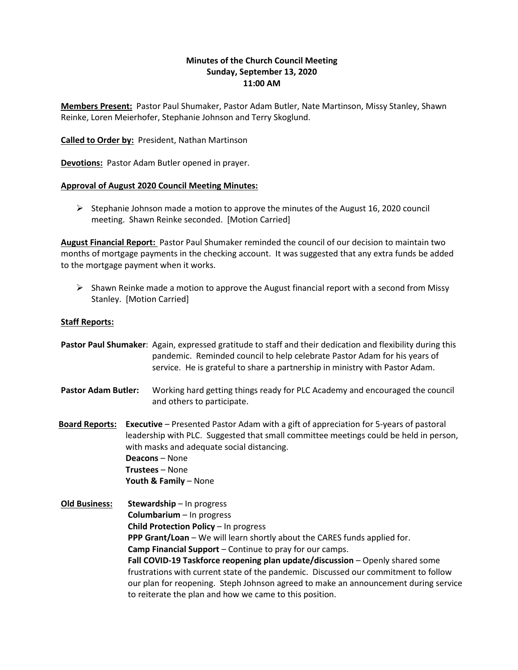# **Minutes of the Church Council Meeting Sunday, September 13, 2020 11:00 AM**

**Members Present:** Pastor Paul Shumaker, Pastor Adam Butler, Nate Martinson, Missy Stanley, Shawn Reinke, Loren Meierhofer, Stephanie Johnson and Terry Skoglund.

**Called to Order by:** President, Nathan Martinson

**Devotions:** Pastor Adam Butler opened in prayer.

### **Approval of August 2020 Council Meeting Minutes:**

 $\triangleright$  Stephanie Johnson made a motion to approve the minutes of the August 16, 2020 council meeting. Shawn Reinke seconded. [Motion Carried]

**August Financial Report:** Pastor Paul Shumaker reminded the council of our decision to maintain two months of mortgage payments in the checking account. It was suggested that any extra funds be added to the mortgage payment when it works.

 $\triangleright$  Shawn Reinke made a motion to approve the August financial report with a second from Missy Stanley. [Motion Carried]

### **Staff Reports:**

**Pastor Paul Shumaker**: Again, expressed gratitude to staff and their dedication and flexibility during this pandemic. Reminded council to help celebrate Pastor Adam for his years of service. He is grateful to share a partnership in ministry with Pastor Adam.

- **Pastor Adam Butler:** Working hard getting things ready for PLC Academy and encouraged the council and others to participate.
- **Board Reports: Executive** Presented Pastor Adam with a gift of appreciation for 5-years of pastoral leadership with PLC. Suggested that small committee meetings could be held in person, with masks and adequate social distancing. **Deacons** – None **Trustees** – None **Youth & Family** – None
- **Old Business: Stewardship** In progress **Columbarium** – In progress **Child Protection Policy** – In progress **PPP Grant/Loan** – We will learn shortly about the CARES funds applied for. **Camp Financial Support** – Continue to pray for our camps. **Fall COVID-19 Taskforce reopening plan update/discussion** – Openly shared some frustrations with current state of the pandemic. Discussed our commitment to follow our plan for reopening. Steph Johnson agreed to make an announcement during service to reiterate the plan and how we came to this position.